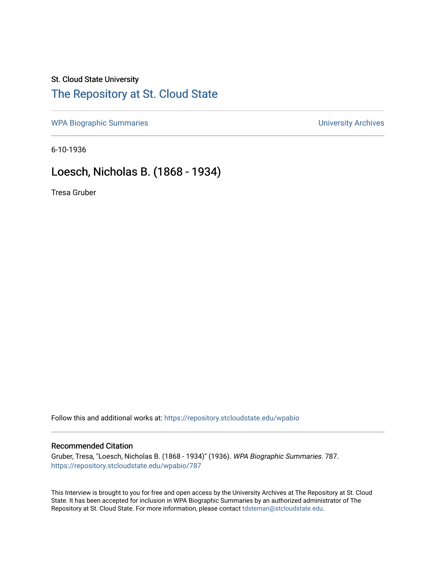## St. Cloud State University

# [The Repository at St. Cloud State](https://repository.stcloudstate.edu/)

[WPA Biographic Summaries](https://repository.stcloudstate.edu/wpabio) **WPA Biographic Summaries University Archives** 

6-10-1936

# Loesch, Nicholas B. (1868 - 1934)

Tresa Gruber

Follow this and additional works at: [https://repository.stcloudstate.edu/wpabio](https://repository.stcloudstate.edu/wpabio?utm_source=repository.stcloudstate.edu%2Fwpabio%2F787&utm_medium=PDF&utm_campaign=PDFCoverPages) 

### Recommended Citation

Gruber, Tresa, "Loesch, Nicholas B. (1868 - 1934)" (1936). WPA Biographic Summaries. 787. [https://repository.stcloudstate.edu/wpabio/787](https://repository.stcloudstate.edu/wpabio/787?utm_source=repository.stcloudstate.edu%2Fwpabio%2F787&utm_medium=PDF&utm_campaign=PDFCoverPages) 

This Interview is brought to you for free and open access by the University Archives at The Repository at St. Cloud State. It has been accepted for inclusion in WPA Biographic Summaries by an authorized administrator of The Repository at St. Cloud State. For more information, please contact [tdsteman@stcloudstate.edu.](mailto:tdsteman@stcloudstate.edu)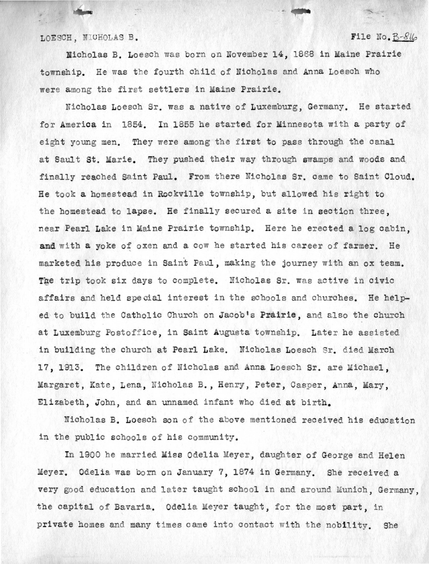LOESCH. NICHOLAS B. **File No. B-8l6** 

Nicholas B. Loesch was born on November 14, 1868 in Maine Prairie township. He was the fourth child of Nicholas and Anna Loesch who were among the first settlers in Maine Prairie.

icholas Loesch Sr. was a native of Luxemburg, Germany. He started for America in 1854. In 1855 he started for Minnesota with a party of eight young men. They were among the first to pass through the canal at Sault St. Marie. They pushed their way through swamps and woods and finally reached Saint Paul. From there Nicholas Sr. came to Saint Cloud. He took a homestead in Rockville township, but allowed his right to the homestead to lapse. He finally secured a site in section three, near Pearl Lake in Maine Prairie township. Here he erected a log cabin, and with a yoke of oxen and a cow he started his career of farmer. He marketed his produce in Saint Paul, making the journey with an ox team. The trip took six days to complete. Nicholas Sr. was active in civic affairs and held special interest in the schools and churches. He helped to build the Catholic Church on Jacob's Prairie, and also the church at Luxemburg Postoffice, in Saint Augusta township. Later he assisted in building the church at Pearl Lake. Nicholas Loesch Sr. died March 17, 1913. The children of Nicholas and Anna Loesch Sr. are Michael, Margaret, Kate, Lena, Nicholas B., Henry, Peter, Casper, Anna, Mary, Elizabeth, John, and an unnamed infant who died at birth.

Nicholas B. Loesch son of the above mentioned received his education in the public schools of his community.

In 1900 he married Miss Odelia Meyer, daughter of George and Helen Meyer. Odelia was born on January 7, 1874 in Germany. She received a very good education and later taught school in and around Munich, Germany, the capital of Bavaria. Odelia Meyer taught, for the most part, in private homes and many times came into contact with the nobility. She